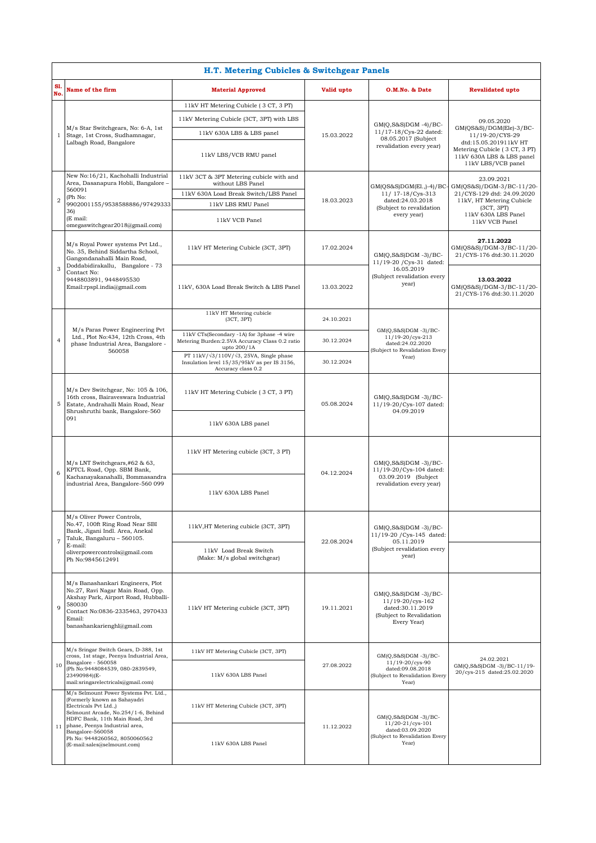| H.T. Metering Cubicles & Switchgear Panels |                                                                                                                                                                                                                                                                                                |                                                                                                                             |            |                                                                                                                  |                                                                                                                                                                       |  |  |  |  |
|--------------------------------------------|------------------------------------------------------------------------------------------------------------------------------------------------------------------------------------------------------------------------------------------------------------------------------------------------|-----------------------------------------------------------------------------------------------------------------------------|------------|------------------------------------------------------------------------------------------------------------------|-----------------------------------------------------------------------------------------------------------------------------------------------------------------------|--|--|--|--|
| S1<br>No.                                  | Name of the firm                                                                                                                                                                                                                                                                               | <b>Material Approved</b>                                                                                                    | Valid upto | O.M.No. & Date                                                                                                   | <b>Revalidated upto</b>                                                                                                                                               |  |  |  |  |
| 1                                          | M/s Star Switchgears, No: 6-A, 1st<br>Stage, 1st Cross, Sudhamnagar,<br>Lalbagh Road, Bangalore                                                                                                                                                                                                | 11kV HT Metering Cubicle (3 CT, 3 PT)                                                                                       | 15.03.2022 | $GM(Q,S&S)DGM -4)/BC$ -<br>11/17-18/Cys-22 dated:<br>08.05.2017 (Subject<br>revalidation every year)             |                                                                                                                                                                       |  |  |  |  |
|                                            |                                                                                                                                                                                                                                                                                                | 11kV Metering Cubicle (3CT, 3PT) with LBS                                                                                   |            |                                                                                                                  | 09.05.2020<br>GM(QS&S)/DGM(Ele)-3/BC-<br>11/19-20/CYS-29<br>dtd:15.05.201911kV HT<br>Metering Cubicle (3 CT, 3 PT)<br>11kV 630A LBS & LBS panel<br>11kV LBS/VCB panel |  |  |  |  |
|                                            |                                                                                                                                                                                                                                                                                                | 11kV 630A LBS & LBS panel                                                                                                   |            |                                                                                                                  |                                                                                                                                                                       |  |  |  |  |
|                                            |                                                                                                                                                                                                                                                                                                | 11kV LBS/VCB RMU panel                                                                                                      |            |                                                                                                                  |                                                                                                                                                                       |  |  |  |  |
|                                            | New No:16/21, Kachohalli Industrial<br>Area, Dasanapura Hobli, Bangalore -<br>560091<br>(Ph No:<br>9902001155/9538588886/97429333<br>36)<br>(E mail:                                                                                                                                           | 11kV 3CT & 3PT Metering cubicle with and                                                                                    | 18.03.2023 | $GM(QS&S)DGM(E1, -4)/BC$<br>11/ 17-18/Cys-313<br>dated:24.03.2018<br>(Subject to revalidation<br>every year)     | 23.09.2021                                                                                                                                                            |  |  |  |  |
|                                            |                                                                                                                                                                                                                                                                                                | without LBS Panel<br>11kV 630A Load Break Switch/LBS Panel                                                                  |            |                                                                                                                  | GM(QS&S)/DGM-3/BC-11/20-<br>21/CYS-129 dtd: 24.09.2020<br>11kV, HT Metering Cubicle<br>(3CT, 3PT)<br>11kV 630A LBS Panel<br>11kV VCB Panel                            |  |  |  |  |
| $\overline{2}$                             |                                                                                                                                                                                                                                                                                                | 11kV LBS RMU Panel                                                                                                          |            |                                                                                                                  |                                                                                                                                                                       |  |  |  |  |
|                                            |                                                                                                                                                                                                                                                                                                | 11kV VCB Panel                                                                                                              |            |                                                                                                                  |                                                                                                                                                                       |  |  |  |  |
|                                            | omegaswitchgear2018@gmail.com)                                                                                                                                                                                                                                                                 |                                                                                                                             |            |                                                                                                                  |                                                                                                                                                                       |  |  |  |  |
| 3                                          | M/s Royal Power systems Pvt Ltd.,<br>No. 35, Behind Siddartha School,<br>Gangondanahalli Main Road,<br>Doddabidirakallu, Bangalore - 73<br>Contact No:<br>9448803891, 9448495530<br>Email:rpspl.india@gmail.com                                                                                | 11kV HT Metering Cubicle (3CT, 3PT)                                                                                         | 17.02.2024 | $GM(Q,S&S)DGM -3)/BC-$<br>11/19-20 / Cys-31 dated:<br>16.05.2019<br>(Subject revalidation every<br>year)         | 27.11.2022<br>GM(QS&S)/DGM-3/BC-11/20-<br>21/CYS-176 dtd:30.11.2020                                                                                                   |  |  |  |  |
|                                            |                                                                                                                                                                                                                                                                                                | 11kV, 630A Load Break Switch & LBS Panel                                                                                    | 13.03.2022 |                                                                                                                  | 13.03.2022<br>GM(QS&S)/DGM-3/BC-11/20-<br>21/CYS-176 dtd:30.11.2020                                                                                                   |  |  |  |  |
|                                            | M/s Paras Power Engineering Pvt<br>Ltd., Plot No:434, 12th Cross, 4th<br>phase Industrial Area, Bangalore -<br>560058                                                                                                                                                                          | 11kV HT Metering cubicle<br>(3CT, 3PT)                                                                                      | 24.10.2021 | GM(Q,S&S)DGM -3)/BC-<br>11/19-20/cys-213<br>dated:24.02.2020<br>(Subject to Revalidation Every<br>Year)          |                                                                                                                                                                       |  |  |  |  |
| 4                                          |                                                                                                                                                                                                                                                                                                | 11kV CTs(Secondary -1A) for 3phase -4 wire<br>Metering Burden: 2.5VA Accuracy Class 0.2 ratio<br>upto 200/1A                | 30.12.2024 |                                                                                                                  |                                                                                                                                                                       |  |  |  |  |
|                                            |                                                                                                                                                                                                                                                                                                | PT 11kV/ $\sqrt{3}/110V/\sqrt{3}$ , 25VA, Single phase<br>Insulation level 15/35/95kV as per IS 3156,<br>Accuracy class 0.2 | 30.12.2024 |                                                                                                                  |                                                                                                                                                                       |  |  |  |  |
| 5                                          | M/s Dev Switchgear, No: 105 & 106,<br>16th cross, Bairaveswara Industrial<br>Estate, Andrahalli Main Road, Near<br>Shrushruthi bank, Bangalore-560<br>091                                                                                                                                      | 11kV HT Metering Cubicle (3 CT, 3 PT)                                                                                       | 05.08.2024 | $GM(Q,S&S)DGM -3)/BC-$<br>11/19-20/Cys-107 dated:<br>04.09.2019                                                  |                                                                                                                                                                       |  |  |  |  |
|                                            |                                                                                                                                                                                                                                                                                                | 11kV 630A LBS panel                                                                                                         |            |                                                                                                                  |                                                                                                                                                                       |  |  |  |  |
|                                            | M/s LNT Switchgears,#62 & 63,<br>KPTCL Road, Opp. SBM Bank,<br>Kachanayakanahalli, Bommasandra<br>industrial Area, Bangalore-560 099                                                                                                                                                           | 11kV HT Metering cubicle (3CT, 3 PT)                                                                                        | 04.12.2024 | GM(O,S&S)DGM -3)/BC-<br>11/19-20/Cys-104 dated:<br>03.09.2019 (Subject<br>revalidation every year)               |                                                                                                                                                                       |  |  |  |  |
| 6                                          |                                                                                                                                                                                                                                                                                                | 11kV 630A LBS Panel                                                                                                         |            |                                                                                                                  |                                                                                                                                                                       |  |  |  |  |
| $\overline{7}$                             | M/s Oliver Power Controls,<br>No.47, 100ft Ring Road Near SBI<br>Bank, Jigani Indl. Area, Anekal<br>Taluk, Bangaluru - 560105.<br>E-mail:<br>oliverpowercontrols@gmail.com<br>Ph No:9845612491                                                                                                 | 11kV, HT Metering cubicle (3CT, 3PT)                                                                                        | 22.08.2024 | GM(O,S&S)DGM -3)/BC-<br>11/19-20 / Cys-145 dated:<br>05.11.2019<br>(Subject revalidation every<br>year)          |                                                                                                                                                                       |  |  |  |  |
|                                            |                                                                                                                                                                                                                                                                                                | 11kV Load Break Switch<br>(Make: M/s global switchgear)                                                                     |            |                                                                                                                  |                                                                                                                                                                       |  |  |  |  |
| q                                          | M/s Banashankari Engineers, Plot<br>No.27, Ravi Nagar Main Road, Opp.<br>Akshay Park, Airport Road, Hubballi-<br>580030<br>Contact No:0836-2335463, 2970433<br>Email:<br>banashankarienghl@gmail.com                                                                                           | 11kV HT Metering cubicle (3CT, 3PT)                                                                                         | 19.11.2021 | $GM(Q,S&S)DGM -3)/BC-$<br>11/19-20/cys-162<br>dated:30.11.2019<br>(Subject to Revalidation<br>Every Year)        |                                                                                                                                                                       |  |  |  |  |
| 10                                         | M/s Sringar Switch Gears, D-388, 1st<br>cross, 1st stage, Peenya Industrial Area,<br>Bangalore - 560058<br>(Ph No:9448084539, 080-2839549,<br>23490984)(E-<br>mail:sringarelectricals@gmail.com)                                                                                               | 11kV HT Metering Cubicle (3CT, 3PT)                                                                                         | 27.08.2022 | $GM(Q, S&S)DGM -3)/BC-$<br>11/19-20/cys-90<br>dated:09.08.2018<br>(Subject to Revalidation Every<br>Year)        |                                                                                                                                                                       |  |  |  |  |
|                                            |                                                                                                                                                                                                                                                                                                | 11kV 630A LBS Panel                                                                                                         |            |                                                                                                                  | 24.02.2021<br>GM(Q,S&S)DGM -3)/BC-11/19-<br>20/cys-215 dated:25.02.2020                                                                                               |  |  |  |  |
| 11                                         | M/s Selmount Power Systems Pvt. Ltd.,<br>(Formerly known as Sahayadri<br>Electricals Pvt Ltd.,)<br>Selmount Arcade, No.254/1-6, Behind<br>HDFC Bank, 11th Main Road, 3rd<br>phase, Peenya Industrial area,<br>Bangalore-560058<br>Ph No: 9448260562, 8050060562<br>(E-mail:sales@selmount.com) | 11kV HT Metering Cubicle (3CT, 3PT)                                                                                         | 11.12.2022 | $GM(Q, S&S)DGM -3)/BC-$<br>$11/20 - 21/cys - 101$<br>dated:03.09.2020<br>(Subject to Revalidation Every<br>Year) |                                                                                                                                                                       |  |  |  |  |
|                                            |                                                                                                                                                                                                                                                                                                | 11kV 630A LBS Panel                                                                                                         |            |                                                                                                                  |                                                                                                                                                                       |  |  |  |  |